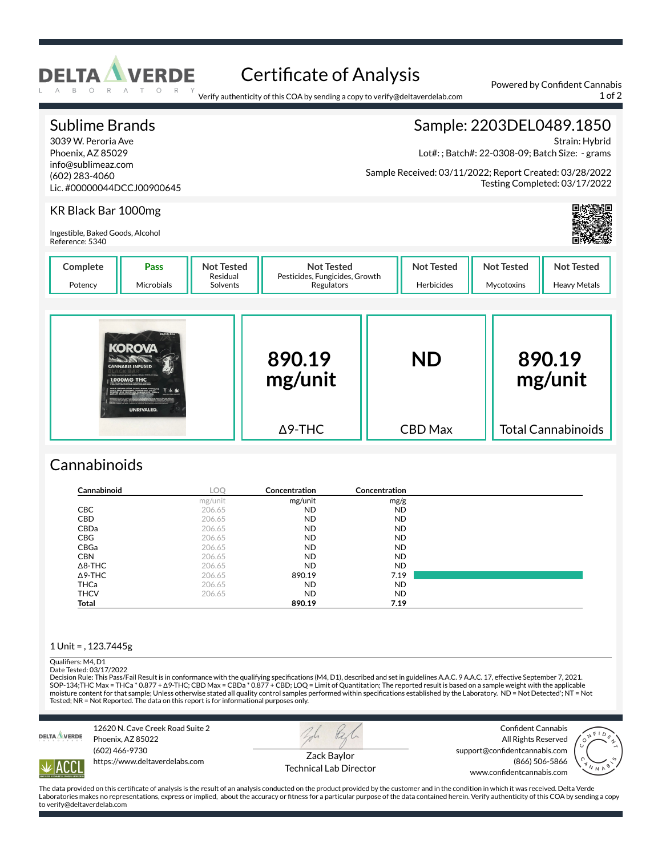

# Certificate of Analysis

Verify authenticity of this COA by sending a copy to verify@deltaverdelab.com

#### Sublime Brands 3039 W. Peroria Ave Phoenix, AZ 85029 info@sublimeaz.com (602) 283-4060 Lic. #00000044DCCJ00900645 Sample: 2203DEL0489.1850 Strain: Hybrid Lot#: ; Batch#: 22-0308-09; Batch Size: - grams Sample Received: 03/11/2022; Report Created: 03/28/2022 Testing Completed: 03/17/2022 KR Black Bar 1000mg Ingestible, Baked Goods, Alcohol Reference: 5340 **Complete** Potency **Pass** Microbials **Not Tested** Residual Solvents **Not Tested** Pesticides, Fungicides, Growth **Regulators Not Tested** Herbicides **Not Tested** Mycotoxins **Not Tested** Heavy Metals **890.19 mg/unit** Δ9-THC **ND** CBD Max **890.19 mg/unit** Total Cannabinoids

## **Cannabinoids**

| Cannabinoid    | LOQ     | <b>Concentration</b> | Concentration |  |
|----------------|---------|----------------------|---------------|--|
|                | mg/unit | mg/unit              | mg/g          |  |
| <b>CBC</b>     | 206.65  | <b>ND</b>            | <b>ND</b>     |  |
| CBD            | 206.65  | <b>ND</b>            | <b>ND</b>     |  |
| CBDa           | 206.65  | <b>ND</b>            | <b>ND</b>     |  |
| <b>CBG</b>     | 206.65  | <b>ND</b>            | <b>ND</b>     |  |
| CBGa           | 206.65  | <b>ND</b>            | <b>ND</b>     |  |
| <b>CBN</b>     | 206.65  | <b>ND</b>            | <b>ND</b>     |  |
| $\Delta$ 8-THC | 206.65  | <b>ND</b>            | <b>ND</b>     |  |
| $\Delta$ 9-THC | 206.65  | 890.19               | 7.19          |  |
| <b>THCa</b>    | 206.65  | <b>ND</b>            | <b>ND</b>     |  |
| <b>THCV</b>    | 206.65  | <b>ND</b>            | <b>ND</b>     |  |
| <b>Total</b>   |         | 890.19               | 7.19          |  |

#### 1 Unit = , 123.7445g

#### Qualifiers: M4, D1

Date Tested: 03/17/2022

Decision Rule: This Pass/Fail Result is in conformance with the qualifying specifications (M4, D1), described and set in guidelines A.A.C. 9 A.A.C. 17, effective September 7, 2021.<br>SOP-134;THC Max = THCa \* 0.877 + Δ9-THC; moisture content for that sample; Unless otherwise stated all quality control samples performed within specifications established by the Laboratory. ND = Not Detected'; NT = Not Tested; NR = Not Reported. The data on this report is for informational purposes only.



IACC

12620 N. Cave Creek Road Suite 2 Phoenix, AZ 85022 (602) 466-9730 https://www.deltaverdelabs.com



Technical Lab Director

Confident Cannabis All Rights Reserved support@confidentcannabis.com (866) 506-5866



The data provided on this certificate of analysis is the result of an analysis conducted on the product provided by the customer and in the condition in which it was received. Delta Verde Laboratories makes no representations, express or implied, about the accuracy or fitness for a particular purpose of the data contained herein. Verify authenticity of this COA by sending a copy to verify@deltaverdelab.com